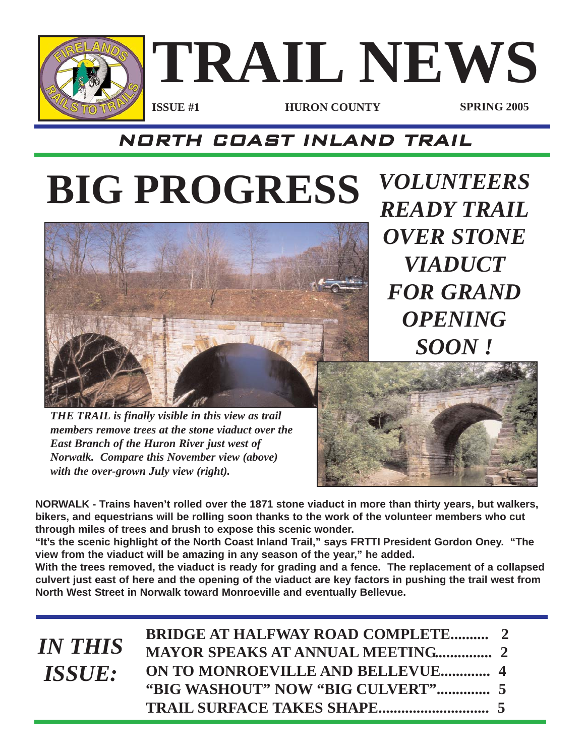

### NORTH COAST INLAND TRAIL

# **BIG PROGRESS** *VOLUNTEERS*



*READY TRAIL OVER STONE VIADUCT FOR GRAND OPENING SOON !*

*THE TRAIL is finally visible in this view as trail members remove trees at the stone viaduct over the East Branch of the Huron River just west of Norwalk. Compare this November view (above) with the over-grown July view (right).* 

**NORWALK - Trains haven't rolled over the 1871 stone viaduct in more than thirty years, but walkers, bikers, and equestrians will be rolling soon thanks to the work of the volunteer members who cut through miles of trees and brush to expose this scenic wonder.** 

**"It's the scenic highlight of the North Coast Inland Trail," says FRTTI President Gordon Oney. "The view from the viaduct will be amazing in any season of the year," he added.** 

**With the trees removed, the viaduct is ready for grading and a fence. The replacement of a collapsed culvert just east of here and the opening of the viaduct are key factors in pushing the trail west from North West Street in Norwalk toward Monroeville and eventually Bellevue.**

| <b>IN THIS</b>       | <b>BRIDGE AT HALFWAY ROAD COMPLETE 2</b> |  |
|----------------------|------------------------------------------|--|
|                      | <b>MAYOR SPEAKS AT ANNUAL MEETING 2</b>  |  |
| <i><b>ISSUE:</b></i> | ON TO MONROEVILLE AND BELLEVUE 4         |  |
|                      |                                          |  |
|                      |                                          |  |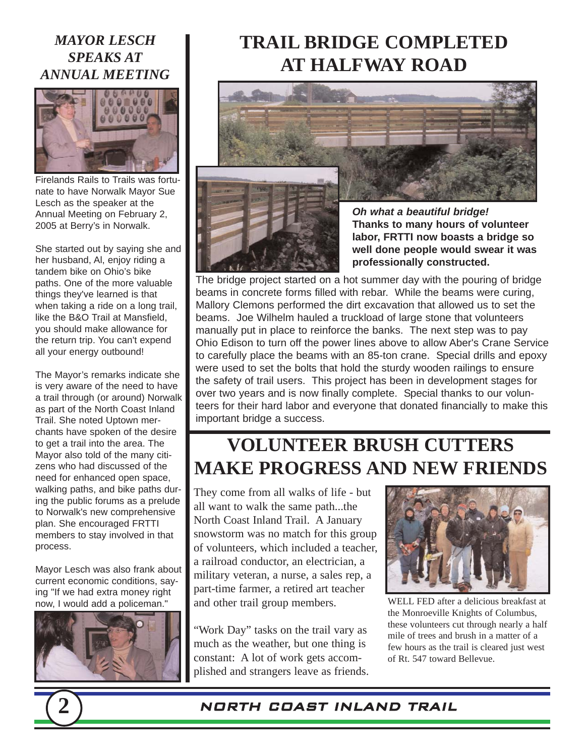#### *MAYOR LESCH SPEAKS AT ANNUAL MEETING*



Firelands Rails to Trails was fortunate to have Norwalk Mayor Sue Lesch as the speaker at the Annual Meeting on February 2, 2005 at Berry's in Norwalk.

She started out by saying she and her husband, Al, enjoy riding a tandem bike on Ohio's bike paths. One of the more valuable things they've learned is that when taking a ride on a long trail, like the B&O Trail at Mansfield, you should make allowance for the return trip. You can't expend all your energy outbound!

The Mayor's remarks indicate she is very aware of the need to have a trail through (or around) Norwalk as part of the North Coast Inland Trail. She noted Uptown merchants have spoken of the desire to get a trail into the area. The Mayor also told of the many citizens who had discussed of the need for enhanced open space, walking paths, and bike paths during the public forums as a prelude to Norwalk's new comprehensive plan. She encouraged FRTTI members to stay involved in that process.

Mayor Lesch was also frank about current economic conditions, saying "If we had extra money right now, I would add a policeman."



### **TRAIL BRIDGE COMPLETED AT HALFWAY ROAD**





*Oh what a beautiful bridge!* **Thanks to many hours of volunteer labor, FRTTI now boasts a bridge so well done people would swear it was professionally constructed.**

The bridge project started on a hot summer day with the pouring of bridge beams in concrete forms filled with rebar. While the beams were curing, Mallory Clemons performed the dirt excavation that allowed us to set the beams. Joe Wilhelm hauled a truckload of large stone that volunteers manually put in place to reinforce the banks. The next step was to pay Ohio Edison to turn off the power lines above to allow Aber's Crane Service to carefully place the beams with an 85-ton crane. Special drills and epoxy were used to set the bolts that hold the sturdy wooden railings to ensure the safety of trail users. This project has been in development stages for over two years and is now finally complete. Special thanks to our volunteers for their hard labor and everyone that donated financially to make this important bridge a success.

### **VOLUNTEER BRUSH CUTTERS MAKE PROGRESS AND NEW FRIENDS**

They come from all walks of life - but all want to walk the same path...the North Coast Inland Trail. A January snowstorm was no match for this group of volunteers, which included a teacher, a railroad conductor, an electrician, a military veteran, a nurse, a sales rep, a part-time farmer, a retired art teacher and other trail group members.

"Work Day" tasks on the trail vary as much as the weather, but one thing is constant: A lot of work gets accomplished and strangers leave as friends.



WELL FED after a delicious breakfast at the Monroeville Knights of Columbus, these volunteers cut through nearly a half mile of trees and brush in a matter of a few hours as the trail is cleared just west of Rt. 547 toward Bellevue.

#### **2** NORTH COAST INLAND TRAIL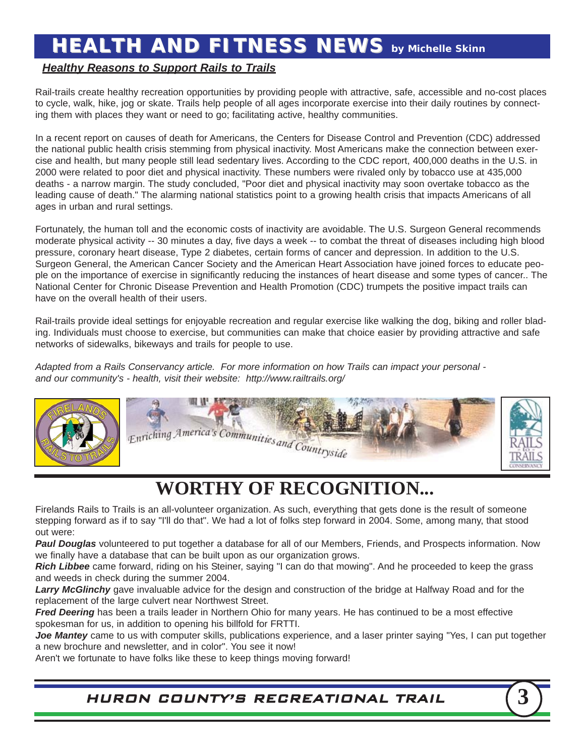### **HEALTH AND FITNESS NEWS** by Michelle Skinn

#### *Healthy Reasons to Support Rails to Trails*

Rail-trails create healthy recreation opportunities by providing people with attractive, safe, accessible and no-cost places to cycle, walk, hike, jog or skate. Trails help people of all ages incorporate exercise into their daily routines by connecting them with places they want or need to go; facilitating active, healthy communities.

In a recent report on causes of death for Americans, the Centers for Disease Control and Prevention (CDC) addressed the national public health crisis stemming from physical inactivity. Most Americans make the connection between exercise and health, but many people still lead sedentary lives. According to the CDC report, 400,000 deaths in the U.S. in 2000 were related to poor diet and physical inactivity. These numbers were rivaled only by tobacco use at 435,000 deaths - a narrow margin. The study concluded, "Poor diet and physical inactivity may soon overtake tobacco as the leading cause of death." The alarming national statistics point to a growing health crisis that impacts Americans of all ages in urban and rural settings.

Fortunately, the human toll and the economic costs of inactivity are avoidable. The U.S. Surgeon General recommends moderate physical activity -- 30 minutes a day, five days a week -- to combat the threat of diseases including high blood pressure, coronary heart disease, Type 2 diabetes, certain forms of cancer and depression. In addition to the U.S. Surgeon General, the American Cancer Society and the American Heart Association have joined forces to educate people on the importance of exercise in significantly reducing the instances of heart disease and some types of cancer.. The National Center for Chronic Disease Prevention and Health Promotion (CDC) trumpets the positive impact trails can have on the overall health of their users.

Rail-trails provide ideal settings for enjoyable recreation and regular exercise like walking the dog, biking and roller blading. Individuals must choose to exercise, but communities can make that choice easier by providing attractive and safe networks of sidewalks, bikeways and trails for people to use.

*Adapted from a Rails Conservancy article. For more information on how Trails can impact your personal and our community's - health, visit their website: http://www.railtrails.org/*





### **WORTHY OF RECOGNITION...**

Firelands Rails to Trails is an all-volunteer organization. As such, everything that gets done is the result of someone stepping forward as if to say "I'll do that". We had a lot of folks step forward in 2004. Some, among many, that stood out were:

*Paul Douglas* volunteered to put together a database for all of our Members, Friends, and Prospects information. Now we finally have a database that can be built upon as our organization grows.

*Rich Libbee* came forward, riding on his Steiner, saying "I can do that mowing". And he proceeded to keep the grass and weeds in check during the summer 2004.

*Larry McGlinchy* gave invaluable advice for the design and construction of the bridge at Halfway Road and for the replacement of the large culvert near Northwest Street.

*Fred Deering* has been a trails leader in Northern Ohio for many years. He has continued to be a most effective spokesman for us, in addition to opening his billfold for FRTTI.

*Joe Mantey* came to us with computer skills, publications experience, and a laser printer saying "Yes, I can put together a new brochure and newsletter, and in color". You see it now!

Aren't we fortunate to have folks like these to keep things moving forward!

HURON COUNTY'S RECREATIONAL TRAIL **3**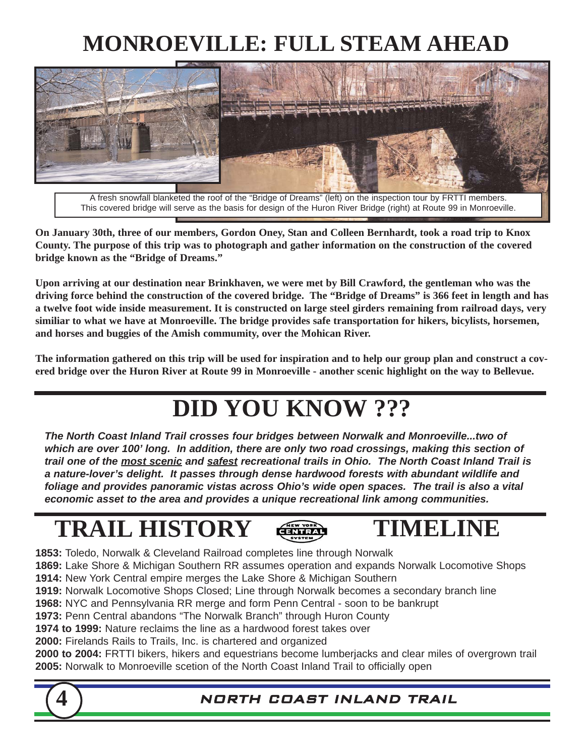### **MONROEVILLE: FULL STEAM AHEAD**



A fresh snowfall blanketed the roof of the "Bridge of Dreams" (left) on the inspection tour by FRTTI members. This covered bridge will serve as the basis for design of the Huron River Bridge (right) at Route 99 in Monroeville.

**On January 30th, three of our members, Gordon Oney, Stan and Colleen Bernhardt, took a road trip to Knox County. The purpose of this trip was to photograph and gather information on the construction of the covered bridge known as the "Bridge of Dreams."**

**Upon arriving at our destination near Brinkhaven, we were met by Bill Crawford, the gentleman who was the driving force behind the construction of the covered bridge. The "Bridge of Dreams" is 366 feet in length and has a twelve foot wide inside measurement. It is constructed on large steel girders remaining from railroad days, very similiar to what we have at Monroeville. The bridge provides safe transportation for hikers, bicylists, horsemen, and horses and buggies of the Amish commumity, over the Mohican River.**

**The information gathered on this trip will be used for inspiration and to help our group plan and construct a covered bridge over the Huron River at Route 99 in Monroeville - another scenic highlight on the way to Bellevue.**

### **DID YOU KNOW ???**

*The North Coast Inland Trail crosses four bridges between Norwalk and Monroeville...two of which are over 100' long. In addition, there are only two road crossings, making this section of trail one of the most scenic and safest recreational trails in Ohio. The North Coast Inland Trail is a nature-lover's delight. It passes through dense hardwood forests with abundant wildlife and foliage and provides panoramic vistas across Ohio's wide open spaces. The trail is also a vital economic asset to the area and provides a unique recreational link among communities.*

### **TRAIL HISTORY**



### **TIMELINE**

**1853:** Toledo, Norwalk & Cleveland Railroad completes line through Norwalk

**1869:** Lake Shore & Michigan Southern RR assumes operation and expands Norwalk Locomotive Shops **1914:** New York Central empire merges the Lake Shore & Michigan Southern

**1919:** Norwalk Locomotive Shops Closed; Line through Norwalk becomes a secondary branch line

**1968:** NYC and Pennsylvania RR merge and form Penn Central - soon to be bankrupt **1973:** Penn Central abandons "The Norwalk Branch" through Huron County

**1974 to 1999:** Nature reclaims the line as a hardwood forest takes over

**2000:** Firelands Rails to Trails, Inc. is chartered and organized

**2000 to 2004:** FRTTI bikers, hikers and equestrians become lumberjacks and clear miles of overgrown trail **2005:** Norwalk to Monroeville scetion of the North Coast Inland Trail to officially open



#### **4** NORTH COAST INLAND TRAIL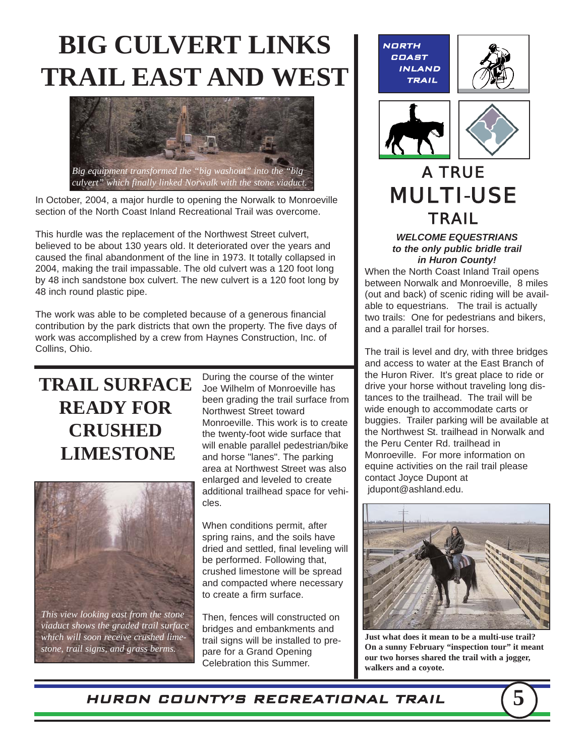## **BIG CULVERT LINKS TRAIL EAST AND WEST**



In October, 2004, a major hurdle to opening the Norwalk to Monroeville section of the North Coast Inland Recreational Trail was overcome.

This hurdle was the replacement of the Northwest Street culvert, believed to be about 130 years old. It deteriorated over the years and caused the final abandonment of the line in 1973. It totally collapsed in 2004, making the trail impassable. The old culvert was a 120 foot long by 48 inch sandstone box culvert. The new culvert is a 120 foot long by 48 inch round plastic pipe.

The work was able to be completed because of a generous financial contribution by the park districts that own the property. The five days of work was accomplished by a crew from Haynes Construction, Inc. of Collins, Ohio.

### **TRAIL SURFACE READY FOR CRUSHED LIMESTONE**

During the course of the winter Joe Wilhelm of Monroeville has been grading the trail surface from Northwest Street toward Monroeville. This work is to create the twenty-foot wide surface that will enable parallel pedestrian/bike and horse "lanes". The parking area at Northwest Street was also enlarged and leveled to create additional trailhead space for vehicles.



*This view looking east from the stone viaduct shows the graded trail surface which will soon receive crushed limestone, trail signs, and grass berms.*

When conditions permit, after spring rains, and the soils have dried and settled, final leveling will be performed. Following that, crushed limestone will be spread and compacted where necessary to create a firm surface.

Then, fences will constructed on bridges and embankments and trail signs will be installed to prepare for a Grand Opening Celebration this Summer.

NORTH COAST INLAND TRAIL





### *A TRUE MULTI-USE TRAIL*

*WELCOME EQUESTRIANS to the only public bridle trail in Huron County!* 

When the North Coast Inland Trail opens between Norwalk and Monroeville, 8 miles (out and back) of scenic riding will be available to equestrians. The trail is actually two trails: One for pedestrians and bikers, and a parallel trail for horses.

The trail is level and dry, with three bridges and access to water at the East Branch of the Huron River. It's great place to ride or drive your horse without traveling long distances to the trailhead. The trail will be wide enough to accommodate carts or buggies. Trailer parking will be available at the Northwest St. trailhead in Norwalk and the Peru Center Rd. trailhead in Monroeville. For more information on equine activities on the rail trail please contact Joyce Dupont at jdupont@ashland.edu.



**Just what does it mean to be a multi-use trail? On a sunny February "inspection tour" it meant our two horses shared the trail with a jogger, walkers and a coyote.**

HURON COUNTY'S RECREATIONAL TRAIL **5**